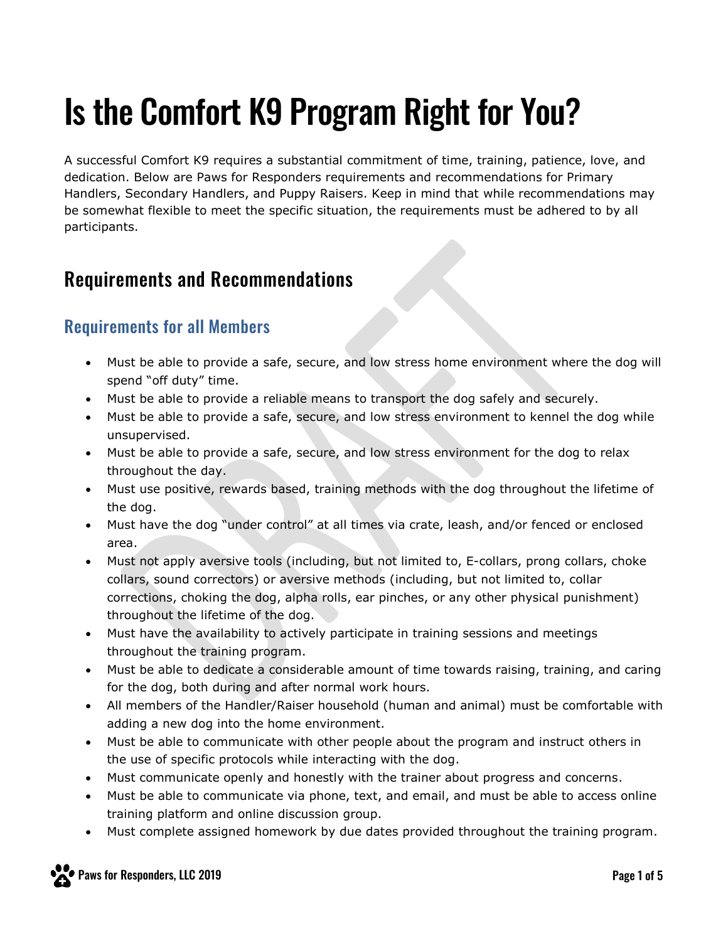# Is the Comfort K9 Program Right for You?

A successful Comfort K9 requires a substantial commitment of time, training, patience, love, and dedication. Below are Paws for Responders requirements and recommendations for Primary Handlers, Secondary Handlers, and Puppy Raisers. Keep in mind that while recommendations may be somewhat flexible to meet the specific situation, the requirements must be adhered to by all participants.

## Requirements and Recommendations

## Requirements for all Members

- Must be able to provide a safe, secure, and low stress home environment where the dog will spend "off duty" time.
- Must be able to provide a reliable means to transport the dog safely and securely.
- Must be able to provide a safe, secure, and low stress environment to kennel the dog while unsupervised.
- Must be able to provide a safe, secure, and low stress environment for the dog to relax throughout the day.
- Must use positive, rewards based, training methods with the dog throughout the lifetime of the dog.
- Must have the dog "under control" at all times via crate, leash, and/or fenced or enclosed area.
- Must not apply aversive tools (including, but not limited to, E-collars, prong collars, choke collars, sound correctors) or aversive methods (including, but not limited to, collar corrections, choking the dog, alpha rolls, ear pinches, or any other physical punishment) throughout the lifetime of the dog.
- Must have the availability to actively participate in training sessions and meetings throughout the training program.
- Must be able to dedicate a considerable amount of time towards raising, training, and caring for the dog, both during and after normal work hours.
- All members of the Handler/Raiser household (human and animal) must be comfortable with adding a new dog into the home environment.
- Must be able to communicate with other people about the program and instruct others in the use of specific protocols while interacting with the dog.
- Must communicate openly and honestly with the trainer about progress and concerns.
- Must be able to communicate via phone, text, and email, and must be able to access online training platform and online discussion group.
- Must complete assigned homework by due dates provided throughout the training program.

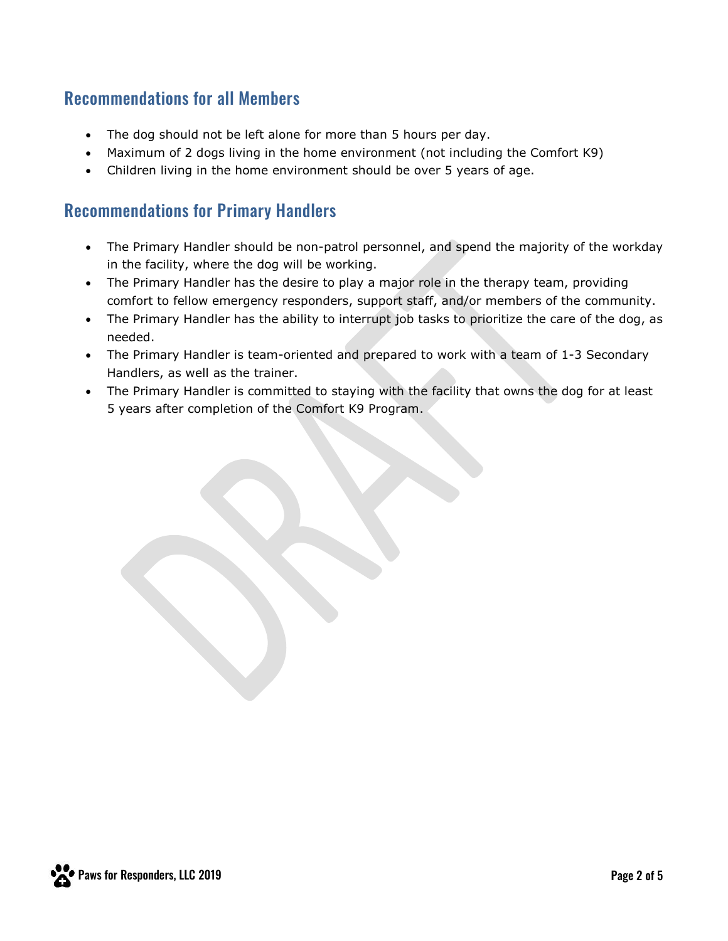#### Recommendations for all Members

- The dog should not be left alone for more than 5 hours per day.
- Maximum of 2 dogs living in the home environment (not including the Comfort K9)
- Children living in the home environment should be over 5 years of age.

#### Recommendations for Primary Handlers

- The Primary Handler should be non-patrol personnel, and spend the majority of the workday in the facility, where the dog will be working.
- The Primary Handler has the desire to play a major role in the therapy team, providing comfort to fellow emergency responders, support staff, and/or members of the community.
- The Primary Handler has the ability to interrupt job tasks to prioritize the care of the dog, as needed.
- The Primary Handler is team-oriented and prepared to work with a team of 1-3 Secondary Handlers, as well as the trainer.
- The Primary Handler is committed to staying with the facility that owns the dog for at least 5 years after completion of the Comfort K9 Program.

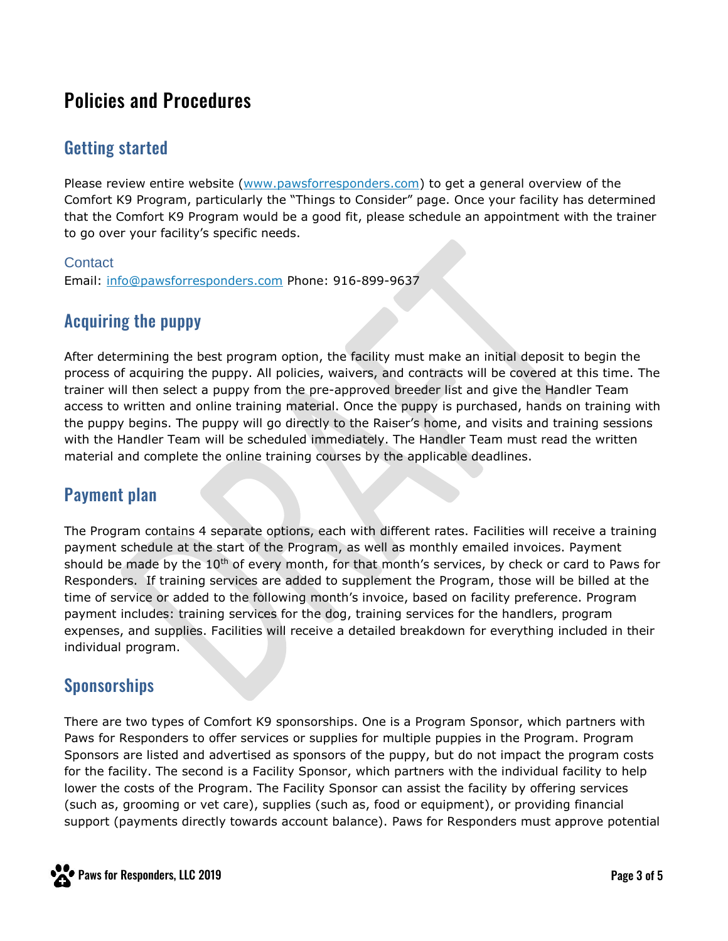# Policies and Procedures

## Getting started

Please review entire website [\(www.pawsforresponders.com\)](http://www.pawsforresponders.com/) to get a general overview of the Comfort K9 Program, particularly the "Things to Consider" page. Once your facility has determined that the Comfort K9 Program would be a good fit, please schedule an appointment with the trainer to go over your facility's specific needs.

#### **Contact**

Email: [info@pawsforresponders.com](mailto:info@pawsforresponders.com) Phone: 916-899-9637

#### Acquiring the puppy

After determining the best program option, the facility must make an initial deposit to begin the process of acquiring the puppy. All policies, waivers, and contracts will be covered at this time. The trainer will then select a puppy from the pre-approved breeder list and give the Handler Team access to written and online training material. Once the puppy is purchased, hands on training with the puppy begins. The puppy will go directly to the Raiser's home, and visits and training sessions with the Handler Team will be scheduled immediately. The Handler Team must read the written material and complete the online training courses by the applicable deadlines.

#### Payment plan

The Program contains 4 separate options, each with different rates. Facilities will receive a training payment schedule at the start of the Program, as well as monthly emailed invoices. Payment should be made by the  $10<sup>th</sup>$  of every month, for that month's services, by check or card to Paws for Responders. If training services are added to supplement the Program, those will be billed at the time of service or added to the following month's invoice, based on facility preference. Program payment includes: training services for the dog, training services for the handlers, program expenses, and supplies. Facilities will receive a detailed breakdown for everything included in their individual program.

#### Sponsorships

There are two types of Comfort K9 sponsorships. One is a Program Sponsor, which partners with Paws for Responders to offer services or supplies for multiple puppies in the Program. Program Sponsors are listed and advertised as sponsors of the puppy, but do not impact the program costs for the facility. The second is a Facility Sponsor, which partners with the individual facility to help lower the costs of the Program. The Facility Sponsor can assist the facility by offering services (such as, grooming or vet care), supplies (such as, food or equipment), or providing financial support (payments directly towards account balance). Paws for Responders must approve potential

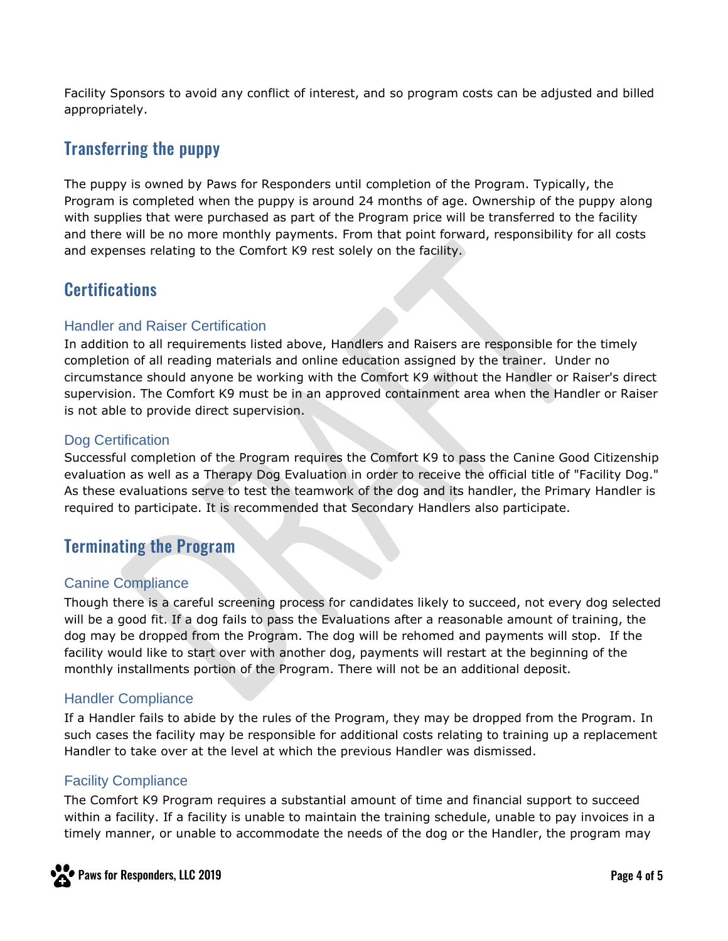Facility Sponsors to avoid any conflict of interest, and so program costs can be adjusted and billed appropriately.

## Transferring the puppy

The puppy is owned by Paws for Responders until completion of the Program. Typically, the Program is completed when the puppy is around 24 months of age. Ownership of the puppy along with supplies that were purchased as part of the Program price will be transferred to the facility and there will be no more monthly payments. From that point forward, responsibility for all costs and expenses relating to the Comfort K9 rest solely on the facility.

## **Certifications**

#### Handler and Raiser Certification

In addition to all requirements listed above, Handlers and Raisers are responsible for the timely completion of all reading materials and online education assigned by the trainer. Under no circumstance should anyone be working with the Comfort K9 without the Handler or Raiser's direct supervision. The Comfort K9 must be in an approved containment area when the Handler or Raiser is not able to provide direct supervision.

#### Dog Certification

Successful completion of the Program requires the Comfort K9 to pass the Canine Good Citizenship evaluation as well as a Therapy Dog Evaluation in order to receive the official title of "Facility Dog." As these evaluations serve to test the teamwork of the dog and its handler, the Primary Handler is required to participate. It is recommended that Secondary Handlers also participate.

#### Terminating the Program

#### Canine Compliance

Though there is a careful screening process for candidates likely to succeed, not every dog selected will be a good fit. If a dog fails to pass the Evaluations after a reasonable amount of training, the dog may be dropped from the Program. The dog will be rehomed and payments will stop. If the facility would like to start over with another dog, payments will restart at the beginning of the monthly installments portion of the Program. There will not be an additional deposit.

#### Handler Compliance

If a Handler fails to abide by the rules of the Program, they may be dropped from the Program. In such cases the facility may be responsible for additional costs relating to training up a replacement Handler to take over at the level at which the previous Handler was dismissed.

#### Facility Compliance

The Comfort K9 Program requires a substantial amount of time and financial support to succeed within a facility. If a facility is unable to maintain the training schedule, unable to pay invoices in a timely manner, or unable to accommodate the needs of the dog or the Handler, the program may